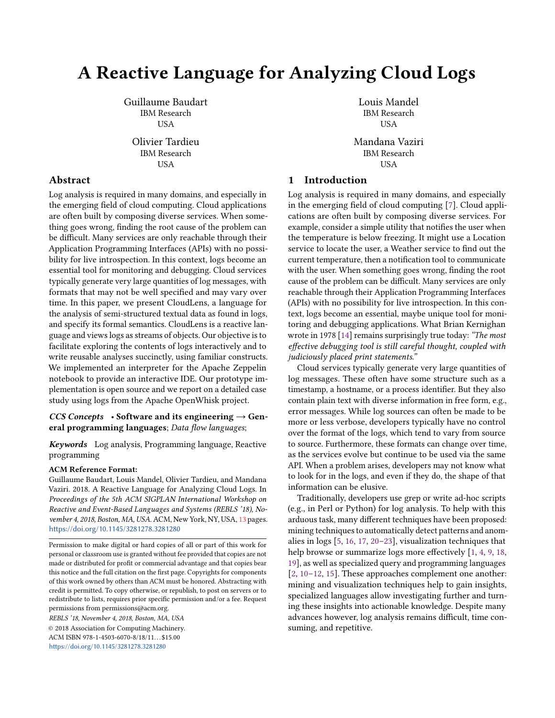# A Reactive Language for Analyzing Cloud Logs

Guillaume Baudart IBM Research USA

Olivier Tardieu IBM Research USA

# Abstract

Log analysis is required in many domains, and especially in the emerging field of cloud computing. Cloud applications are often built by composing diverse services. When something goes wrong, finding the root cause of the problem can be difficult. Many services are only reachable through their Application Programming Interfaces (APIs) with no possibility for live introspection. In this context, logs become an essential tool for monitoring and debugging. Cloud services typically generate very large quantities of log messages, with formats that may not be well specified and may vary over time. In this paper, we present CloudLens, a language for the analysis of semi-structured textual data as found in logs, and specify its formal semantics. CloudLens is a reactive language and views logs as streams of objects. Our objective is to facilitate exploring the contents of logs interactively and to write reusable analyses succinctly, using familiar constructs. We implemented an interpreter for the Apache Zeppelin notebook to provide an interactive IDE. Our prototype implementation is open source and we report on a detailed case study using logs from the Apache OpenWhisk project.

#### CCS Concepts • Software and its engineering  $\rightarrow$  General programming languages; Data flow languages;

Keywords Log analysis, Programming language, Reactive programming

#### ACM Reference Format:

Guillaume Baudart, Louis Mandel, Olivier Tardieu, and Mandana Vaziri. 2018. A Reactive Language for Analyzing Cloud Logs. In Proceedings of the 5th ACM SIGPLAN International Workshop on Reactive and Event-Based Languages and Systems (REBLS '18), No-vember 4, 2018, Boston, MA, USA. ACM, New York, NY, USA, [13](#page-12-0) pages. <https://doi.org/10.1145/3281278.3281280>

Permission to make digital or hard copies of all or part of this work for personal or classroom use is granted without fee provided that copies are not made or distributed for profit or commercial advantage and that copies bear this notice and the full citation on the first page. Copyrights for components of this work owned by others than ACM must be honored. Abstracting with credit is permitted. To copy otherwise, or republish, to post on servers or to redistribute to lists, requires prior specific permission and/or a fee. Request permissions from permissions@acm.org.

REBLS '18, November 4, 2018, Boston, MA, USA © 2018 Association for Computing Machinery. ACM ISBN 978-1-4503-6070-8/18/11...\$15.00 <https://doi.org/10.1145/3281278.3281280>

Louis Mandel IBM Research USA

Mandana Vaziri IBM Research USA

## 1 Introduction

Log analysis is required in many domains, and especially in the emerging field of cloud computing [\[7\]](#page-9-0). Cloud applications are often built by composing diverse services. For example, consider a simple utility that notifies the user when the temperature is below freezing. It might use a Location service to locate the user, a Weather service to find out the current temperature, then a notification tool to communicate with the user. When something goes wrong, finding the root cause of the problem can be difficult. Many services are only reachable through their Application Programming Interfaces (APIs) with no possibility for live introspection. In this context, logs become an essential, maybe unique tool for monitoring and debugging applications. What Brian Kernighan wrote in 1978 [\[14\]](#page-9-1) remains surprisingly true today: "The most effective debugging tool is still careful thought, coupled with judiciously placed print statements."

Cloud services typically generate very large quantities of log messages. These often have some structure such as a timestamp, a hostname, or a process identifier. But they also contain plain text with diverse information in free form, e.g., error messages. While log sources can often be made to be more or less verbose, developers typically have no control over the format of the logs, which tend to vary from source to source. Furthermore, these formats can change over time, as the services evolve but continue to be used via the same API. When a problem arises, developers may not know what to look for in the logs, and even if they do, the shape of that information can be elusive.

Traditionally, developers use grep or write ad-hoc scripts (e.g., in Perl or Python) for log analysis. To help with this arduous task, many different techniques have been proposed: mining techniques to automatically detect patterns and anomalies in logs [\[5,](#page-9-2) [16,](#page-9-3) [17,](#page-9-4) [20–](#page-9-5)[23\]](#page-9-6), visualization techniques that help browse or summarize logs more effectively [\[1,](#page-9-7) [4,](#page-9-8) [9,](#page-9-9) [18,](#page-9-10) [19\]](#page-9-11), as well as specialized query and programming languages [\[2,](#page-9-12) [10–](#page-9-13)[12,](#page-9-14) [15\]](#page-9-15). These approaches complement one another: mining and visualization techniques help to gain insights, specialized languages allow investigating further and turning these insights into actionable knowledge. Despite many advances however, log analysis remains difficult, time consuming, and repetitive.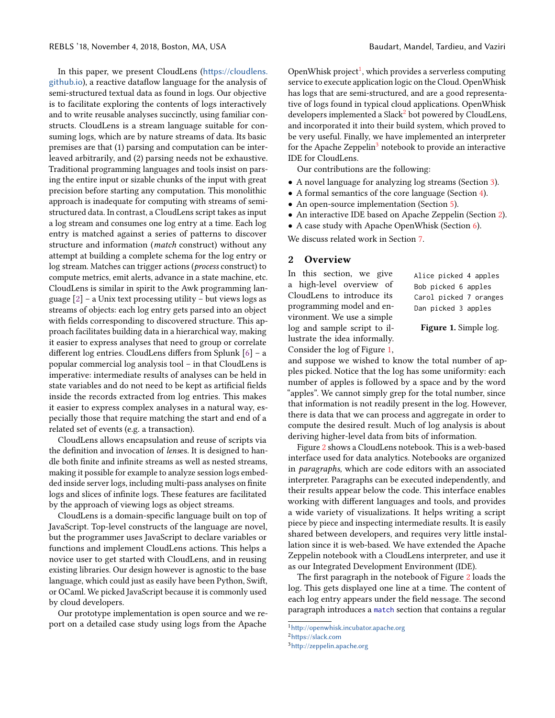In this paper, we present CloudLens ([https://cloudlens.](https://cloudlens.github.io) [github.io](https://cloudlens.github.io)), a reactive dataflow language for the analysis of semi-structured textual data as found in logs. Our objective is to facilitate exploring the contents of logs interactively and to write reusable analyses succinctly, using familiar constructs. CloudLens is a stream language suitable for consuming logs, which are by nature streams of data. Its basic premises are that (1) parsing and computation can be interleaved arbitrarily, and (2) parsing needs not be exhaustive. Traditional programming languages and tools insist on parsing the entire input or sizable chunks of the input with great precision before starting any computation. This monolithic approach is inadequate for computing with streams of semistructured data. In contrast, a CloudLens script takes as input a log stream and consumes one log entry at a time. Each log entry is matched against a series of patterns to discover structure and information (match construct) without any attempt at building a complete schema for the log entry or log stream. Matches can trigger actions (process construct) to compute metrics, emit alerts, advance in a state machine, etc. CloudLens is similar in spirit to the Awk programming language  $[2]$  – a Unix text processing utility – but views logs as streams of objects: each log entry gets parsed into an object with fields corresponding to discovered structure. This approach facilitates building data in a hierarchical way, making it easier to express analyses that need to group or correlate different log entries. CloudLens differs from Splunk [\[6\]](#page-9-16) – a popular commercial log analysis tool – in that CloudLens is imperative: intermediate results of analyses can be held in state variables and do not need to be kept as artificial fields inside the records extracted from log entries. This makes it easier to express complex analyses in a natural way, especially those that require matching the start and end of a related set of events (e.g. a transaction).

CloudLens allows encapsulation and reuse of scripts via the definition and invocation of lenses. It is designed to handle both finite and infinite streams as well as nested streams, making it possible for example to analyze session logs embedded inside server logs, including multi-pass analyses on finite logs and slices of infinite logs. These features are facilitated by the approach of viewing logs as object streams.

CloudLens is a domain-specific language built on top of JavaScript. Top-level constructs of the language are novel, but the programmer uses JavaScript to declare variables or functions and implement CloudLens actions. This helps a novice user to get started with CloudLens, and in reusing existing libraries. Our design however is agnostic to the base language, which could just as easily have been Python, Swift, or OCaml. We picked JavaScript because it is commonly used by cloud developers.

Our prototype implementation is open source and we report on a detailed case study using logs from the Apache

OpenWhisk project<sup>[1](#page-1-0)</sup>, which provides a serverless computing service to execute application logic on the Cloud. OpenWhisk has logs that are semi-structured, and are a good representative of logs found in typical cloud applications. OpenWhisk developers implemented a Slack<sup>[2](#page-1-1)</sup> bot powered by CloudLens, and incorporated it into their build system, which proved to be very useful. Finally, we have implemented an interpreter for the Apache Zeppelin<sup>[3](#page-1-2)</sup> notebook to provide an interactive IDE for CloudLens.

Our contributions are the following:

- A novel language for analyzing log streams (Section [3\)](#page-2-0).
- A formal semantics of the core language (Section [4\)](#page-5-0).
- An open-source implementation (Section [5\)](#page-6-0).
- An interactive IDE based on Apache Zeppelin (Section [2\)](#page-1-3).
- A case study with Apache OpenWhisk (Section [6\)](#page-6-1).

We discuss related work in Section [7.](#page-8-0)

### <span id="page-1-3"></span>2 Overview

In this section, we give a high-level overview of CloudLens to introduce its programming model and environment. We use a simple log and sample script to illustrate the idea informally. Consider the log of Figure [1,](#page-1-4)

<span id="page-1-4"></span>Alice picked 4 apples Bob picked 6 apples Carol picked 7 oranges Dan picked 3 apples

Figure 1. Simple log.

and suppose we wished to know the total number of apples picked. Notice that the log has some uniformity: each number of apples is followed by a space and by the word "apples". We cannot simply grep for the total number, since that information is not readily present in the log. However, there is data that we can process and aggregate in order to compute the desired result. Much of log analysis is about deriving higher-level data from bits of information.

Figure [2](#page-2-1) shows a CloudLens notebook. This is a web-based interface used for data analytics. Notebooks are organized in paragraphs, which are code editors with an associated interpreter. Paragraphs can be executed independently, and their results appear below the code. This interface enables working with different languages and tools, and provides a wide variety of visualizations. It helps writing a script piece by piece and inspecting intermediate results. It is easily shared between developers, and requires very little installation since it is web-based. We have extended the Apache Zeppelin notebook with a CloudLens interpreter, and use it as our Integrated Development Environment (IDE).

The first paragraph in the notebook of Figure [2](#page-2-1) loads the log. This gets displayed one line at a time. The content of each log entry appears under the field message. The second paragraph introduces a match section that contains a regular

<span id="page-1-0"></span><sup>1</sup><http://openwhisk.incubator.apache.org>

<span id="page-1-1"></span><sup>2</sup><https://slack.com>

<span id="page-1-2"></span><sup>3</sup><http://zeppelin.apache.org>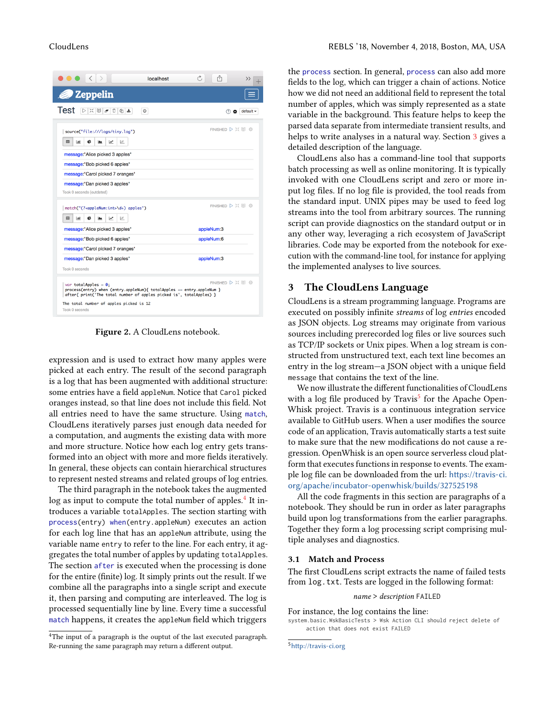<span id="page-2-1"></span>

| localhost                                                                                                                                                                                                                                 |                    |  |  |  |  |
|-------------------------------------------------------------------------------------------------------------------------------------------------------------------------------------------------------------------------------------------|--------------------|--|--|--|--|
| <b>2</b> Zeppelin                                                                                                                                                                                                                         |                    |  |  |  |  |
| Test<br>※ 国々<br>◎ ±<br>Ů<br>$_{\odot}$                                                                                                                                                                                                    | $default -$<br>റ പ |  |  |  |  |
| source("file:///logs/tiny.log")<br>冊<br>¢<br>$ N $<br>lala l<br><b>I ALL</b><br>$\overline{v}$                                                                                                                                            | FINISHED D X III @ |  |  |  |  |
| message: "Alice picked 3 apples"<br>message: "Bob picked 6 apples"                                                                                                                                                                        |                    |  |  |  |  |
| message: "Carol picked 7 oranges"                                                                                                                                                                                                         |                    |  |  |  |  |
| message: "Dan picked 3 apples"<br>Took 0 seconds (outdated)<br>match("(? <applenum:int>\d+) apples")</applenum:int>                                                                                                                       | FINISHED D X 图 @   |  |  |  |  |
| 田<br>¢<br><b>Jak</b><br>$\overline{\phantom{a}}$<br>$ N $<br>≃                                                                                                                                                                            |                    |  |  |  |  |
| message: "Alice picked 3 apples"                                                                                                                                                                                                          | appleNum:3         |  |  |  |  |
| message: "Bob picked 6 apples"                                                                                                                                                                                                            | appleNum:6         |  |  |  |  |
| message: "Carol picked 7 oranges"                                                                                                                                                                                                         |                    |  |  |  |  |
| message: "Dan picked 3 apples"                                                                                                                                                                                                            | appleNum:3         |  |  |  |  |
| Took 0 seconds                                                                                                                                                                                                                            |                    |  |  |  |  |
| FINISHED D XX III @<br>var totalApples = $0$ ;<br>process(entry) when (entry.appleNum){ totalApples += entry.appleNum }<br>after{ print('The total number of apples picked is', totalApples) }<br>The total number of apples picked is 12 |                    |  |  |  |  |
|                                                                                                                                                                                                                                           |                    |  |  |  |  |

Figure 2. A CloudLens notebook.

expression and is used to extract how many apples were picked at each entry. The result of the second paragraph is a log that has been augmented with additional structure: some entries have a field appleNum. Notice that Carol picked oranges instead, so that line does not include this field. Not all entries need to have the same structure. Using match, CloudLens iteratively parses just enough data needed for a computation, and augments the existing data with more and more structure. Notice how each log entry gets transformed into an object with more and more fields iteratively. In general, these objects can contain hierarchical structures to represent nested streams and related groups of log entries.

The third paragraph in the notebook takes the augmented log as input to compute the total number of apples.<sup>[4](#page-2-2)</sup> It introduces a variable totalApples. The section starting with process(entry) when(entry.appleNum) executes an action for each log line that has an appleNum attribute, using the variable name entry to refer to the line. For each entry, it aggregates the total number of apples by updating totalApples. The section after is executed when the processing is done for the entire (finite) log. It simply prints out the result. If we combine all the paragraphs into a single script and execute it, then parsing and computing are interleaved. The log is processed sequentially line by line. Every time a successful match happens, it creates the appleNum field which triggers

<span id="page-2-2"></span><sup>4</sup>The input of a paragraph is the ouptut of the last executed paragraph. Re-running the same paragraph may return a different output.

the process section. In general, process can also add more fields to the log, which can trigger a chain of actions. Notice how we did not need an additional field to represent the total number of apples, which was simply represented as a state variable in the background. This feature helps to keep the parsed data separate from intermediate transient results, and helps to write analyses in a natural way. Section [3](#page-2-0) gives a detailed description of the language.

CloudLens also has a command-line tool that supports batch processing as well as online monitoring. It is typically invoked with one CloudLens script and zero or more input log files. If no log file is provided, the tool reads from the standard input. UNIX pipes may be used to feed log streams into the tool from arbitrary sources. The running script can provide diagnostics on the standard output or in any other way, leveraging a rich ecosystem of JavaScript libraries. Code may be exported from the notebook for execution with the command-line tool, for instance for applying the implemented analyses to live sources.

#### <span id="page-2-0"></span>3 The CloudLens Language

CloudLens is a stream programming language. Programs are executed on possibly infinite streams of log entries encoded as JSON objects. Log streams may originate from various sources including prerecorded log files or live sources such as TCP/IP sockets or Unix pipes. When a log stream is constructed from unstructured text, each text line becomes an entry in the log stream—a JSON object with a unique field message that contains the text of the line.

We now illustrate the different functionalities of CloudLens with a log file produced by Travis<sup>[5](#page-2-3)</sup> for the Apache Open-Whisk project. Travis is a continuous integration service available to GitHub users. When a user modifies the source code of an application, Travis automatically starts a test suite to make sure that the new modifications do not cause a regression. OpenWhisk is an open source serverless cloud platform that executes functions in response to events. The example log file can be downloaded from the url: [https://travis-ci.](https://travis-ci.org/apache/incubator-openwhisk/builds/327525198) [org/apache/incubator-openwhisk/builds/327525198](https://travis-ci.org/apache/incubator-openwhisk/builds/327525198)

All the code fragments in this section are paragraphs of a notebook. They should be run in order as later paragraphs build upon log transformations from the earlier paragraphs. Together they form a log processing script comprising multiple analyses and diagnostics.

#### <span id="page-2-4"></span>3.1 Match and Process

The first CloudLens script extracts the name of failed tests from log.txt. Tests are logged in the following format:

#### name > description FAILED

For instance, the log contains the line: system.basic.WskBasicTests > Wsk Action CLI should reject delete of action that does not exist FAILED

<span id="page-2-3"></span><sup>5</sup><http://travis-ci.org>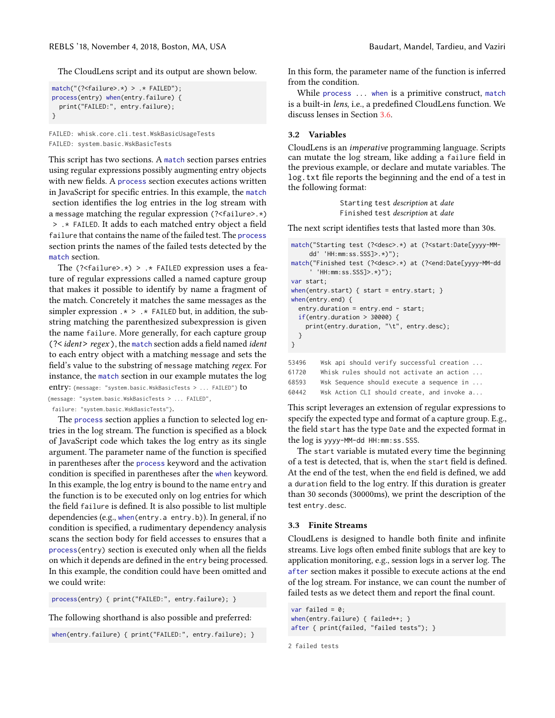The CloudLens script and its output are shown below.

```
match("(?<failure>.*) > .* FAILED");
process(entry) when(entry.failure) {
  print("FAILED:", entry.failure);
}
```
FAILED: whisk.core.cli.test.WskBasicUsageTests FAILED: system.basic.WskBasicTests

This script has two sections. A match section parses entries using regular expressions possibly augmenting entry objects with new fields. A process section executes actions written in JavaScript for specific entries. In this example, the match section identifies the log entries in the log stream with a message matching the regular expression (?<failure>.\*) > .\* FAILED. It adds to each matched entry object a field failure that contains the name of the failed test. The process section prints the names of the failed tests detected by the match section.

The  $($ ?<failure>.\*) > .\* FAILED expression uses a feature of regular expressions called a named capture group that makes it possible to identify by name a fragment of the match. Concretely it matches the same messages as the simpler expression  $.*$  >  $.*$  FAILED but, in addition, the substring matching the parenthesized subexpression is given the name failure. More generally, for each capture group (?< ident> regex), the match section adds a field named ident to each entry object with a matching message and sets the field's value to the substring of message matching regex. For instance, the match section in our example mutates the log entry: {message: "system.basic.WskBasicTests > ... FAILED"} to {message: "system.basic.WskBasicTests > ... FAILED",

failure: "system.basic.WskBasicTests"}.

The process section applies a function to selected log entries in the log stream. The function is specified as a block of JavaScript code which takes the log entry as its single argument. The parameter name of the function is specified in parentheses after the process keyword and the activation condition is specified in parentheses after the when keyword. In this example, the log entry is bound to the name entry and the function is to be executed only on log entries for which the field failure is defined. It is also possible to list multiple dependencies (e.g., when(entry.a entry.b)). In general, if no condition is specified, a rudimentary dependency analysis scans the section body for field accesses to ensures that a process(entry) section is executed only when all the fields on which it depends are defined in the entry being processed. In this example, the condition could have been omitted and we could write:

process(entry) { print("FAILED:", entry.failure); }

The following shorthand is also possible and preferred:

when(entry.failure) { print("FAILED:", entry.failure); }

In this form, the parameter name of the function is inferred from the condition.

While process ... when is a primitive construct, match is a built-in lens, i.e., a predefined CloudLens function. We discuss lenses in Section [3.6.](#page-4-0)

#### <span id="page-3-0"></span>3.2 Variables

CloudLens is an imperative programming language. Scripts can mutate the log stream, like adding a failure field in the previous example, or declare and mutate variables. The log.txt file reports the beginning and the end of a test in the following format:

> Starting test description at date Finished test description at date

The next script identifies tests that lasted more than 30s.

```
match("Starting test (?<desc>.*) at (?<start:Date[yyyy-MM-
     dd' 'HH:mm:ss.SSS]>.*)");
match("Finished test (?<desc>.*) at (?<end:Date[yyyy-MM-dd
      ' 'HH:mm:ss.SSS]>.*)");
var start;
when(entry.start) { start = entry.start; }
when(entry.end) {
  entry.duration = entry.end - start;
  if(entry.duration > 30000) {
    print(entry.duration, "\t", entry.desc);
  }
}
53496 Wsk api should verify successful creation ...
61720 Whisk rules should not activate an action ...
68593 Wsk Sequence should execute a sequence in ...
```
60442 Wsk Action CLI should create, and invoke a...

This script leverages an extension of regular expressions to specify the expected type and format of a capture group. E.g., the field start has the type Date and the expected format in the log is yyyy-MM-dd HH:mm:ss.SSS.

The start variable is mutated every time the beginning of a test is detected, that is, when the start field is defined. At the end of the test, when the end field is defined, we add a duration field to the log entry. If this duration is greater than 30 seconds (30000ms), we print the description of the test entry.desc.

#### <span id="page-3-1"></span>3.3 Finite Streams

CloudLens is designed to handle both finite and infinite streams. Live logs often embed finite sublogs that are key to application monitoring, e.g., session logs in a server log. The after section makes it possible to execute actions at the end of the log stream. For instance, we can count the number of failed tests as we detect them and report the final count.

var failed =  $0$ ; when(entry.failure) { failed++; } after { print(failed, "failed tests"); }

2 failed tests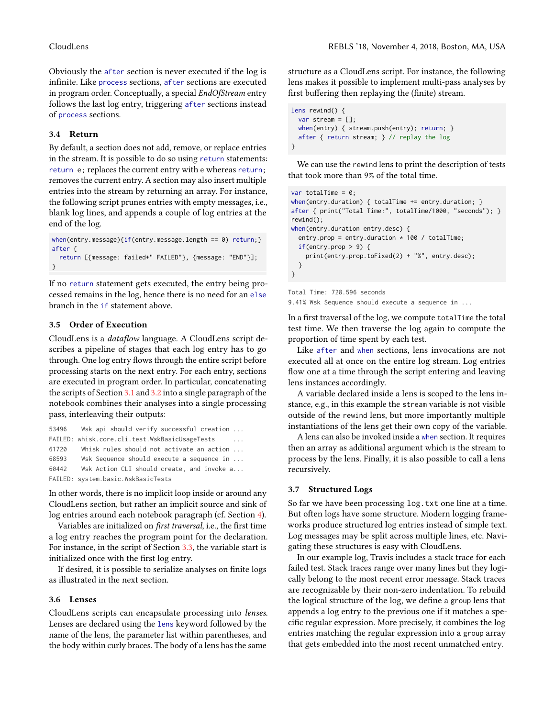Obviously the after section is never executed if the log is infinite. Like process sections, after sections are executed in program order. Conceptually, a special EndOfStream entry follows the last log entry, triggering after sections instead of process sections.

#### 3.4 Return

By default, a section does not add, remove, or replace entries in the stream. It is possible to do so using return statements: return e; replaces the current entry with e whereas return; removes the current entry. A section may also insert multiple entries into the stream by returning an array. For instance, the following script prunes entries with empty messages, i.e., blank log lines, and appends a couple of log entries at the end of the log.

```
when(entry.message){if(entry.message.length == 0) return;}
after {
  return [{message: failed+" FAILED"}, {message: "END"}];
}
```
If no return statement gets executed, the entry being processed remains in the log, hence there is no need for an else branch in the if statement above.

#### 3.5 Order of Execution

CloudLens is a dataflow language. A CloudLens script describes a pipeline of stages that each log entry has to go through. One log entry flows through the entire script before processing starts on the next entry. For each entry, sections are executed in program order. In particular, concatenating the scripts of Section [3.1](#page-2-4) and [3.2](#page-3-0) into a single paragraph of the notebook combines their analyses into a single processing pass, interleaving their outputs:

```
53496 Wsk api should verify successful creation ...
FAILED: whisk.core.cli.test.WskBasicUsageTests
61720 Whisk rules should not activate an action ...
68593 Wsk Sequence should execute a sequence in ...
60442 Wsk Action CLI should create, and invoke a...
FAILED: system.basic.WskBasicTests
```
In other words, there is no implicit loop inside or around any CloudLens section, but rather an implicit source and sink of log entries around each notebook paragraph (cf. Section [4\)](#page-5-0).

Variables are initialized on first traversal, i.e., the first time a log entry reaches the program point for the declaration. For instance, in the script of Section [3.3,](#page-3-1) the variable start is initialized once with the first log entry.

If desired, it is possible to serialize analyses on finite logs as illustrated in the next section.

#### <span id="page-4-0"></span>3.6 Lenses

CloudLens scripts can encapsulate processing into lenses. Lenses are declared using the lens keyword followed by the name of the lens, the parameter list within parentheses, and the body within curly braces. The body of a lens has the same

structure as a CloudLens script. For instance, the following lens makes it possible to implement multi-pass analyses by first buffering then replaying the (finite) stream.

```
lens rewind() {
  var stream = [];
  when(entry) { stream.push(entry); return; }
  after { return stream; } // replay the log
}
```
We can use the rewind lens to print the description of tests that took more than 9% of the total time.

```
var totalTime = 0;
when(entry.duration) { totalTime += entry.duration; }
after { print("Total Time:", totalTime/1000, "seconds"); }
rewind();
when(entry.duration entry.desc) {
  entry.prop = entry.duration * 100 / totalTime;
  if(entry.prop > 9) {
    print(entry.prop.toFixed(2) + "%", entry.desc);
  }
}
```

```
Total Time: 728.596 seconds
```
9.41% Wsk Sequence should execute a sequence in ...

In a first traversal of the log, we compute totalTime the total test time. We then traverse the log again to compute the proportion of time spent by each test.

Like after and when sections, lens invocations are not executed all at once on the entire log stream. Log entries flow one at a time through the script entering and leaving lens instances accordingly.

A variable declared inside a lens is scoped to the lens instance, e.g., in this example the stream variable is not visible outside of the rewind lens, but more importantly multiple instantiations of the lens get their own copy of the variable.

A lens can also be invoked inside a when section. It requires then an array as additional argument which is the stream to process by the lens. Finally, it is also possible to call a lens recursively.

#### <span id="page-4-1"></span>3.7 Structured Logs

So far we have been processing log.txt one line at a time. But often logs have some structure. Modern logging frameworks produce structured log entries instead of simple text. Log messages may be split across multiple lines, etc. Navigating these structures is easy with CloudLens.

In our example log, Travis includes a stack trace for each failed test. Stack traces range over many lines but they logically belong to the most recent error message. Stack traces are recognizable by their non-zero indentation. To rebuild the logical structure of the log, we define a group lens that appends a log entry to the previous one if it matches a specific regular expression. More precisely, it combines the log entries matching the regular expression into a group array that gets embedded into the most recent unmatched entry.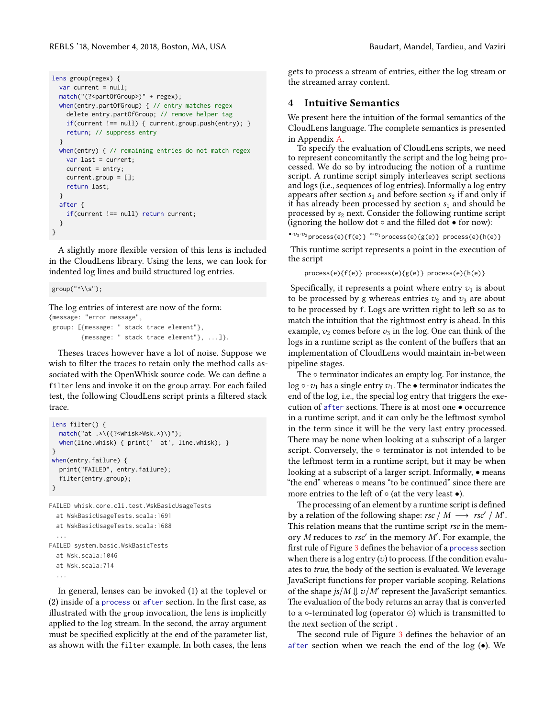```
lens group(regex) {
  var current = null;
  match("(?<partOfGroup>)" + regex);
  when(entry.partOfGroup) { // entry matches regex
    delete entry.partOfGroup; // remove helper tag
    if(current !== null) { current.group.push(entry); }
    return; // suppress entry
  }
  when(entry) { // remaining entries do not match regex
    var last = current;
    current = entry;
    current.group = [];
    return last;
  }
  after {
    if(current !== null) return current;
  }
}
```
A slightly more flexible version of this lens is included in the CloudLens library. Using the lens, we can look for indented log lines and build structured log entries.

group("^\\s");

The log entries of interest are now of the form: {message: "error message", group: [{message: " stack trace element"}, {message: " stack trace element"}, ...]}.

Theses traces however have a lot of noise. Suppose we wish to filter the traces to retain only the method calls associated with the OpenWhisk source code. We can define a filter lens and invoke it on the group array. For each failed test, the following CloudLens script prints a filtered stack trace.

```
lens filter() {
  match("at .*(({?<}whisk>Wsk.*)))");
  when(line.whisk) { print(' at', line.whisk); }
}
when(entry.failure) {
  print("FAILED", entry.failure);
   filter(entry.group);
}
FAILED whisk.core.cli.test.WskBasicUsageTests
```

```
at WskBasicUsageTests.scala:1691
 at WskBasicUsageTests.scala:1688
  ...
FAILED system.basic.WskBasicTests
 at Wsk.scala:1046
 at Wsk.scala:714
```

```
...
```
In general, lenses can be invoked (1) at the toplevel or (2) inside of a process or after section. In the first case, as illustrated with the group invocation, the lens is implicitly applied to the log stream. In the second, the array argument must be specified explicitly at the end of the parameter list, as shown with the filter example. In both cases, the lens

gets to process a stream of entries, either the log stream or the streamed array content.

### <span id="page-5-0"></span>4 Intuitive Semantics

We present here the intuition of the formal semantics of the CloudLens language. The complete semantics is presented in Appendix [A.](#page-10-0)

To specify the evaluation of CloudLens scripts, we need to represent concomitantly the script and the log being processed. We do so by introducing the notion of a runtime script. A runtime script simply interleaves script sections and logs (i.e., sequences of log entries). Informally a log entry appears after section  $s_1$  and before section  $s_2$  if and only if it has already been processed by section  $s_1$  and should be processed by  $s_2$  next. Consider the following runtime script (ignoring the hollow dot  $\circ$  and the filled dot  $\bullet$  for now):

```
•v_3 \cdot v_2process(e){f(e)} \circ v_1process(e){g(e)} process(e){h(e)}
```
This runtime script represents a point in the execution of the script

```
process(e){f(e)} process(e){g(e)} process(e){h(e)}
```
Specifically, it represents a point where entry  $v_1$  is about to be processed by g whereas entries  $v_2$  and  $v_3$  are about to be processed by f. Logs are written right to left so as to match the intuition that the rightmost entry is ahead. In this example,  $v_2$  comes before  $v_3$  in the log. One can think of the logs in a runtime script as the content of the buffers that an implementation of CloudLens would maintain in-between pipeline stages.

The ∘ terminator indicates an empty log. For instance, the log  $\circ \cdot v_1$  has a single entry  $v_1$ . The • terminator indicates the end of the log, i.e., the special log entry that triggers the execution of after sections. There is at most one • occurrence in a runtime script, and it can only be the leftmost symbol in the term since it will be the very last entry processed. There may be none when looking at a subscript of a larger script. Conversely, the ∘ terminator is not intended to be the leftmost term in a runtime script, but it may be when looking at a subscript of a larger script. Informally, • means "the end" whereas ◦ means "to be continued" since there are more entries to the left of  $\circ$  (at the very least  $\bullet$ ).

The processing of an element by a runtime script is defined by a relation of the following shape:  $rsc / M \longrightarrow rsc' / M'$ . This relation means that the runtime script rsc in the memory *M* reduces to *rsc'* in the memory *M'*. For example, the first rule of Figure [3](#page-6-2) defines the behavior of a process section when there is a log entry  $(v)$  to process. If the condition evaluates to true, the body of the section is evaluated. We leverage JavaScript functions for proper variable scoping. Relations of the shape  $js/M \Downarrow v/M$  represent the JavaScript semantics.<br>The evaluation of the body returns an array that is converted. The evaluation of the body returns an array that is converted to a ◦-terminated log (operator ⊙) which is transmitted to the next section of the script .

The second rule of Figure [3](#page-6-2) defines the behavior of an after section when we reach the end of the  $log(\bullet)$ . We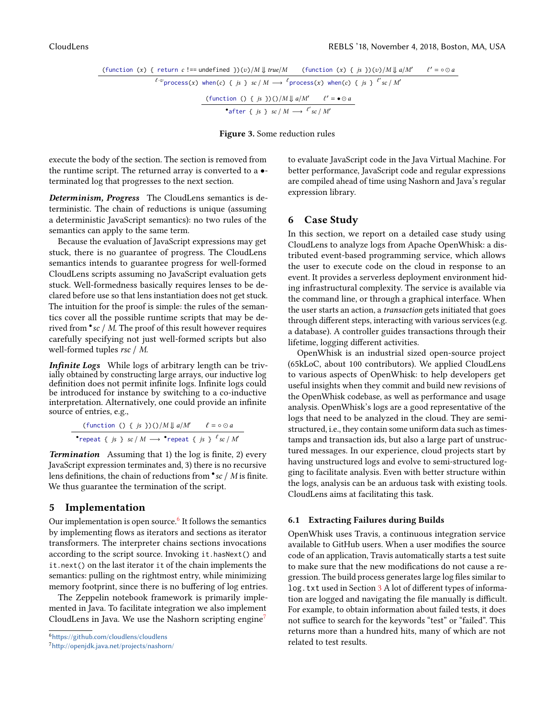<span id="page-6-2"></span>
$$
\begin{array}{c}\n\text{(function (x) { } t \text{ return } c != undefined } \frac{)}{w} \cdot \frac{1}{\sqrt{w}} \cdot \frac{1}{\sqrt{w}} \cdot \frac{1}{\sqrt{w}} \cdot \frac{1}{\sqrt{w}} \cdot \frac{1}{\sqrt{w}} \cdot \frac{1}{\sqrt{w}} \cdot \frac{1}{\sqrt{w}} \cdot \frac{1}{\sqrt{w}} \cdot \frac{1}{\sqrt{w}} \cdot \frac{1}{\sqrt{w}} \cdot \frac{1}{\sqrt{w}} \cdot \frac{1}{\sqrt{w}} \cdot \frac{1}{\sqrt{w}} \cdot \frac{1}{\sqrt{w}} \cdot \frac{1}{\sqrt{w}} \cdot \frac{1}{\sqrt{w}} \cdot \frac{1}{\sqrt{w}} \cdot \frac{1}{\sqrt{w}} \cdot \frac{1}{\sqrt{w}} \cdot \frac{1}{\sqrt{w}} \cdot \frac{1}{\sqrt{w}} \cdot \frac{1}{\sqrt{w}} \cdot \frac{1}{\sqrt{w}} \cdot \frac{1}{\sqrt{w}} \cdot \frac{1}{\sqrt{w}} \cdot \frac{1}{\sqrt{w}} \cdot \frac{1}{\sqrt{w}} \cdot \frac{1}{\sqrt{w}} \cdot \frac{1}{\sqrt{w}} \cdot \frac{1}{\sqrt{w}} \cdot \frac{1}{\sqrt{w}} \cdot \frac{1}{\sqrt{w}} \cdot \frac{1}{\sqrt{w}} \cdot \frac{1}{\sqrt{w}} \cdot \frac{1}{\sqrt{w}} \cdot \frac{1}{\sqrt{w}} \cdot \frac{1}{\sqrt{w}} \cdot \frac{1}{\sqrt{w}} \cdot \frac{1}{\sqrt{w}} \cdot \frac{1}{\sqrt{w}} \cdot \frac{1}{\sqrt{w}} \cdot \frac{1}{\sqrt{w}} \cdot \frac{1}{\sqrt{w}} \cdot \frac{1}{\sqrt{w}} \cdot \frac{1}{\sqrt{w}} \cdot \frac{1}{\sqrt{w}} \cdot \frac{1}{\sqrt{w}} \cdot \frac{1}{\sqrt{w}} \cdot \frac{1}{\sqrt{w}} \cdot \frac{1}{\sqrt{w}} \cdot \frac{1}{\sqrt{w}} \cdot \frac{1}{\sqrt{w}} \cdot \frac{1}{\sqrt{w}} \cdot \frac{1}{\sqrt{w}} \cdot \frac{1}{\sqrt{w}} \cdot \frac{1}{\sqrt{w}} \cdot \frac{1}{\sqrt{w}} \cdot \frac{1}{\sqrt{w}} \cdot \frac{1}{\sqrt{w}} \cdot \frac{1}{\sqrt{w}} \cdot \frac{1
$$

Figure 3. Some reduction rules

execute the body of the section. The section is removed from the runtime script. The returned array is converted to a • terminated log that progresses to the next section.

Determinism, Progress The CloudLens semantics is deterministic. The chain of reductions is unique (assuming a deterministic JavaScript semantics): no two rules of the semantics can apply to the same term.

Because the evaluation of JavaScript expressions may get stuck, there is no guarantee of progress. The CloudLens semantics intends to guarantee progress for well-formed CloudLens scripts assuming no JavaScript evaluation gets stuck. Well-formedness basically requires lenses to be declared before use so that lens instantiation does not get stuck. The intuition for the proof is simple: the rules of the semantics cover all the possible runtime scripts that may be derived from • sc / M. The proof of this result however requires carefully specifying not just well-formed scripts but also well-formed tuples rsc / M.

Infinite Logs While logs of arbitrary length can be trivially obtained by constructing large arrays, our inductive log definition does not permit infinite logs. Infinite logs could be introduced for instance by switching to a co-inductive interpretation. Alternatively, one could provide an infinite source of entries, e.g.,

$$
\frac{\text{(function () } \{ \text{ }js \text{ } \})()/M \Downarrow a/M \quad \ell = \circ \odot a}{\text{ "repeat } \{ \text{ }js \text{ } \} \text{ } sc / M \longrightarrow \text{ "repeat } \{ \text{ }js \text{ } \} \text{ } \ell_{sc} / M}
$$

**Termination** Assuming that 1) the log is finite, 2) every JavaScript expression terminates and, 3) there is no recursive lens definitions, the chain of reductions from  $\bullet$  sc / M is finite. We thus guarantee the termination of the script.

#### <span id="page-6-0"></span>5 Implementation

Our implementation is open source.<sup>[6](#page-6-3)</sup> It follows the semantics by implementing flows as iterators and sections as iterator transformers. The interpreter chains sections invocations according to the script source. Invoking it.hasNext() and it.next() on the last iterator it of the chain implements the semantics: pulling on the rightmost entry, while minimizing memory footprint, since there is no buffering of log entries.

The Zeppelin notebook framework is primarily implemented in Java. To facilitate integration we also implement CloudLens in Java. We use the Nashorn scripting engine<sup>[7](#page-6-4)</sup>

to evaluate JavaScript code in the Java Virtual Machine. For better performance, JavaScript code and regular expressions are compiled ahead of time using Nashorn and Java's regular expression library.

#### <span id="page-6-1"></span>6 Case Study

In this section, we report on a detailed case study using CloudLens to analyze logs from Apache OpenWhisk: a distributed event-based programming service, which allows the user to execute code on the cloud in response to an event. It provides a serverless deployment environment hiding infrastructural complexity. The service is available via the command line, or through a graphical interface. When the user starts an action, a transaction gets initiated that goes through different steps, interacting with various services (e.g. a database). A controller guides transactions through their lifetime, logging different activities.

OpenWhisk is an industrial sized open-source project (65kLoC, about 100 contributors). We applied CloudLens to various aspects of OpenWhisk: to help developers get useful insights when they commit and build new revisions of the OpenWhisk codebase, as well as performance and usage analysis. OpenWhisk's logs are a good representative of the logs that need to be analyzed in the cloud. They are semistructured, i.e., they contain some uniform data such as timestamps and transaction ids, but also a large part of unstructured messages. In our experience, cloud projects start by having unstructured logs and evolve to semi-structured logging to facilitate analysis. Even with better structure within the logs, analysis can be an arduous task with existing tools. CloudLens aims at facilitating this task.

#### 6.1 Extracting Failures during Builds

OpenWhisk uses Travis, a continuous integration service available to GitHub users. When a user modifies the source code of an application, Travis automatically starts a test suite to make sure that the new modifications do not cause a regression. The build process generates large log files similar to log.txt used in Section [3](#page-2-0) A lot of different types of information are logged and navigating the file manually is difficult. For example, to obtain information about failed tests, it does not suffice to search for the keywords "test" or "failed". This returns more than a hundred hits, many of which are not related to test results.

<span id="page-6-3"></span><sup>6</sup><https://github.com/cloudlens/cloudlens>

<span id="page-6-4"></span><sup>7</sup><http://openjdk.java.net/projects/nashorn/>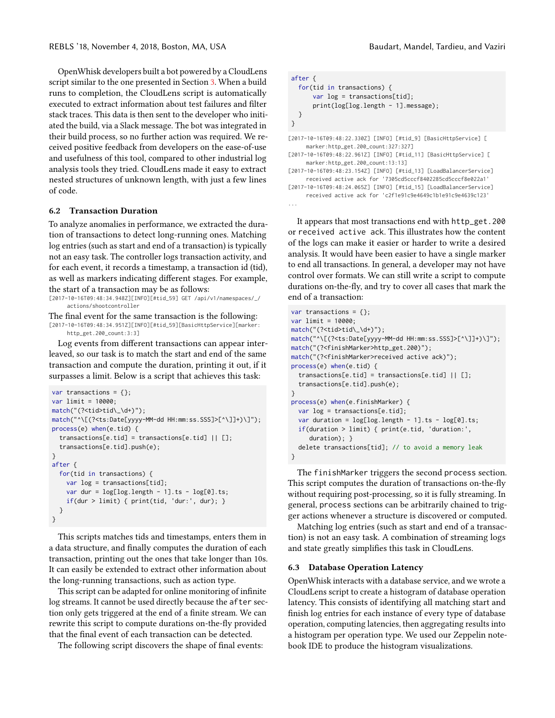OpenWhisk developers built a bot powered by a CloudLens script similar to the one presented in Section [3.](#page-2-0) When a build runs to completion, the CloudLens script is automatically executed to extract information about test failures and filter stack traces. This data is then sent to the developer who initiated the build, via a Slack message. The bot was integrated in their build process, so no further action was required. We received positive feedback from developers on the ease-of-use and usefulness of this tool, compared to other industrial log analysis tools they tried. CloudLens made it easy to extract nested structures of unknown length, with just a few lines of code.

#### 6.2 Transaction Duration

To analyze anomalies in performance, we extracted the duration of transactions to detect long-running ones. Matching log entries (such as start and end of a transaction) is typically not an easy task. The controller logs transaction activity, and for each event, it records a timestamp, a transaction id (tid), as well as markers indicating different stages. For example, the start of a transaction may be as follows:

```
[2017-10-16T09:48:34.948Z][INFO][#tid_59] GET /api/v1/namespaces/_/
     actions/shootcontroller
```
The final event for the same transaction is the following:

[2017-10-16T09:48:34.951Z][INFO][#tid\_59][BasicHttpService][marker: http\_get.200\_count:3:3]

Log events from different transactions can appear interleaved, so our task is to match the start and end of the same transaction and compute the duration, printing it out, if it surpasses a limit. Below is a script that achieves this task:

```
var transactions = \{\};
var limit = 10000;
match("(?<tid>tid\_\d+)");
match("^\[(?<ts:Date[yyyy-MM-dd HH:mm:ss.SSS]>[^\]]+)\]");
process(e) when(e.tid) {
  transactions[e.tid] = transactions[e.tid] || [];
  transactions[e.tid].push(e);
}
after {
  for(tid in transactions) {
    var log = transactions[tid];
    var dur = log[log.length - 1].ts - log[0].ts;
    if(dur > limit) { print(tid, 'dur:', dur); }
  }
}
```
This scripts matches tids and timestamps, enters them in a data structure, and finally computes the duration of each transaction, printing out the ones that take longer than 10s. It can easily be extended to extract other information about the long-running transactions, such as action type.

This script can be adapted for online monitoring of infinite log streams. It cannot be used directly because the after section only gets triggered at the end of a finite stream. We can rewrite this script to compute durations on-the-fly provided that the final event of each transaction can be detected.

The following script discovers the shape of final events:

```
after {
  for(tid in transactions) {
      var log = transactions[tid];
      print(log[log.length - 1].message);
 }
}
```
[2017-10-16T09:48:22.330Z] [INFO] [#tid\_9] [BasicHttpService] [ marker:http\_get.200\_count:327:327]

```
[2017-10-16T09:48:22.961Z] [INFO] [#tid_11] [BasicHttpService] [
     marker:http_get.200_count:13:13]
```
[2017-10-16T09:48:23.154Z] [INFO] [#tid\_13] [LoadBalancerService] received active ack for '7305cd5cccf8402285cd5cccf8e022a1'

```
[2017-10-16T09:48:24.065Z] [INFO] [#tid_15] [LoadBalancerService]
     received active ack for 'c2f1e91c9e4649c1b1e91c9e4639c123'
...
```
It appears that most transactions end with http\_get.200 or received active ack. This illustrates how the content of the logs can make it easier or harder to write a desired analysis. It would have been easier to have a single marker to end all transactions. In general, a developer may not have control over formats. We can still write a script to compute durations on-the-fly, and try to cover all cases that mark the end of a transaction:

```
var transactions = \{}:
var limit = 10000;
match("(?<tid>tid\_\d+)");
match("^\[(?<ts:Date[yyyy-MM-dd HH:mm:ss.SSS]>[^\]]+)\]");
match("(?<finishMarker>http_get.200)");
match("(?<finishMarker>received active ack)");
process(e) when(e.tid) {
  transactions[e.tid] = transactions[e.tid] || [];
  transactions[e.tid].push(e);
}
process(e) when(e.finishMarker) {
  var log = transactions[e.tid];
  var duration = log[log.length - 1].ts - log[0].ts;if(duration > limit) { print(e.tid, 'duration:',
     duration); }
  delete transactions[tid]; // to avoid a memory leak
}
```
The finishMarker triggers the second process section. This script computes the duration of transactions on-the-fly without requiring post-processing, so it is fully streaming. In general, process sections can be arbitrarily chained to trigger actions whenever a structure is discovered or computed.

Matching log entries (such as start and end of a transaction) is not an easy task. A combination of streaming logs and state greatly simplifies this task in CloudLens.

#### 6.3 Database Operation Latency

OpenWhisk interacts with a database service, and we wrote a CloudLens script to create a histogram of database operation latency. This consists of identifying all matching start and finish log entries for each instance of every type of database operation, computing latencies, then aggregating results into a histogram per operation type. We used our Zeppelin notebook IDE to produce the histogram visualizations.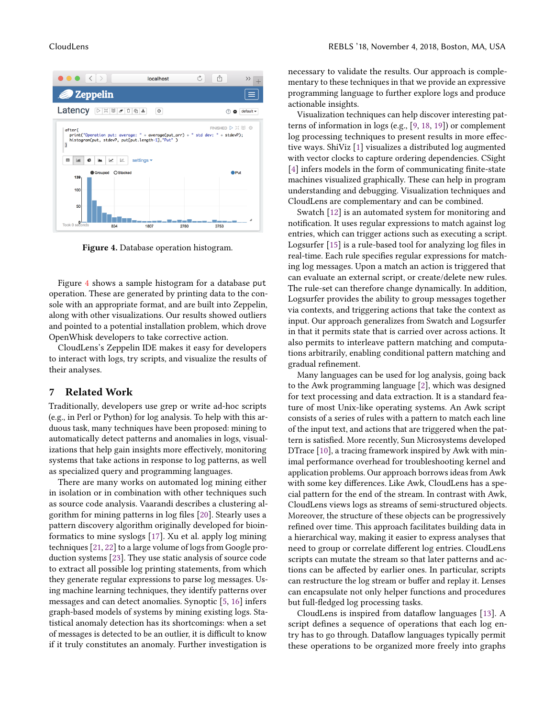<span id="page-8-1"></span>

Figure 4. Database operation histogram.

Figure [4](#page-8-1) shows a sample histogram for a database put operation. These are generated by printing data to the console with an appropriate format, and are built into Zeppelin, along with other visualizations. Our results showed outliers and pointed to a potential installation problem, which drove OpenWhisk developers to take corrective action.

CloudLens's Zeppelin IDE makes it easy for developers to interact with logs, try scripts, and visualize the results of their analyses.

#### <span id="page-8-0"></span>7 Related Work

Traditionally, developers use grep or write ad-hoc scripts (e.g., in Perl or Python) for log analysis. To help with this arduous task, many techniques have been proposed: mining to automatically detect patterns and anomalies in logs, visualizations that help gain insights more effectively, monitoring systems that take actions in response to log patterns, as well as specialized query and programming languages.

There are many works on automated log mining either in isolation or in combination with other techniques such as source code analysis. Vaarandi describes a clustering algorithm for mining patterns in log files [\[20\]](#page-9-5). Stearly uses a pattern discovery algorithm originally developed for bioinformatics to mine syslogs [\[17\]](#page-9-4). Xu et al. apply log mining techniques [\[21,](#page-9-17) [22\]](#page-9-18) to a large volume of logs from Google production systems [\[23\]](#page-9-6). They use static analysis of source code to extract all possible log printing statements, from which they generate regular expressions to parse log messages. Using machine learning techniques, they identify patterns over messages and can detect anomalies. Synoptic [\[5,](#page-9-2) [16\]](#page-9-3) infers graph-based models of systems by mining existing logs. Statistical anomaly detection has its shortcomings: when a set of messages is detected to be an outlier, it is difficult to know if it truly constitutes an anomaly. Further investigation is

necessary to validate the results. Our approach is complementary to these techniques in that we provide an expressive programming language to further explore logs and produce actionable insights.

Visualization techniques can help discover interesting patterns of information in logs (e.g., [\[9,](#page-9-9) [18,](#page-9-10) [19\]](#page-9-11)) or complement log processing techniques to present results in more effective ways. ShiViz [\[1\]](#page-9-7) visualizes a distributed log augmented with vector clocks to capture ordering dependencies. CSight [\[4\]](#page-9-8) infers models in the form of communicating finite-state machines visualized graphically. These can help in program understanding and debugging. Visualization techniques and CloudLens are complementary and can be combined.

Swatch [\[12\]](#page-9-14) is an automated system for monitoring and notification. It uses regular expressions to match against log entries, which can trigger actions such as executing a script. Logsurfer [\[15\]](#page-9-15) is a rule-based tool for analyzing log files in real-time. Each rule specifies regular expressions for matching log messages. Upon a match an action is triggered that can evaluate an external script, or create/delete new rules. The rule-set can therefore change dynamically. In addition, Logsurfer provides the ability to group messages together via contexts, and triggering actions that take the context as input. Our approach generalizes from Swatch and Logsurfer in that it permits state that is carried over across actions. It also permits to interleave pattern matching and computations arbitrarily, enabling conditional pattern matching and gradual refinement.

Many languages can be used for log analysis, going back to the Awk programming language [\[2\]](#page-9-12), which was designed for text processing and data extraction. It is a standard feature of most Unix-like operating systems. An Awk script consists of a series of rules with a pattern to match each line of the input text, and actions that are triggered when the pattern is satisfied. More recently, Sun Microsystems developed DTrace [\[10\]](#page-9-13), a tracing framework inspired by Awk with minimal performance overhead for troubleshooting kernel and application problems. Our approach borrows ideas from Awk with some key differences. Like Awk, CloudLens has a special pattern for the end of the stream. In contrast with Awk, CloudLens views logs as streams of semi-structured objects. Moreover, the structure of these objects can be progressively refined over time. This approach facilitates building data in a hierarchical way, making it easier to express analyses that need to group or correlate different log entries. CloudLens scripts can mutate the stream so that later patterns and actions can be affected by earlier ones. In particular, scripts can restructure the log stream or buffer and replay it. Lenses can encapsulate not only helper functions and procedures but full-fledged log processing tasks.

CloudLens is inspired from dataflow languages [\[13\]](#page-9-19). A script defines a sequence of operations that each log entry has to go through. Dataflow languages typically permit these operations to be organized more freely into graphs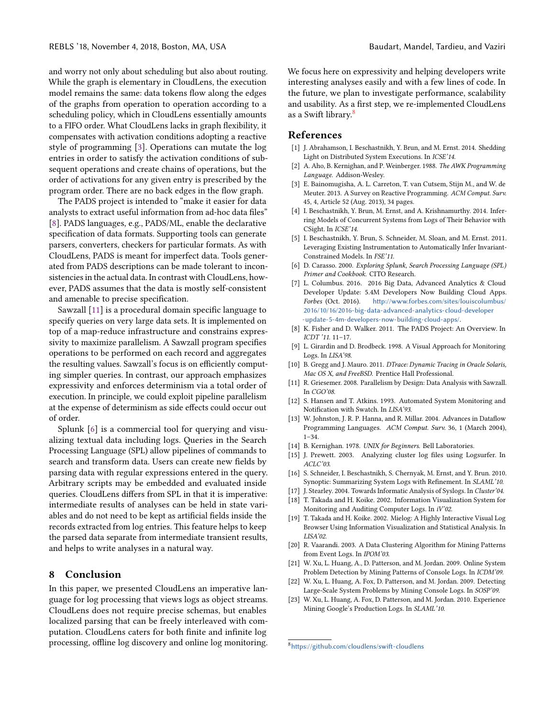and worry not only about scheduling but also about routing. While the graph is elementary in CloudLens, the execution model remains the same: data tokens flow along the edges of the graphs from operation to operation according to a scheduling policy, which in CloudLens essentially amounts to a FIFO order. What CloudLens lacks in graph flexibility, it compensates with activation conditions adopting a reactive style of programming [\[3\]](#page-9-20). Operations can mutate the log entries in order to satisfy the activation conditions of subsequent operations and create chains of operations, but the order of activations for any given entry is prescribed by the program order. There are no back edges in the flow graph.

The PADS project is intended to "make it easier for data analysts to extract useful information from ad-hoc data files" [\[8\]](#page-9-21). PADS languages, e.g., PADS/ML, enable the declarative specification of data formats. Supporting tools can generate parsers, converters, checkers for particular formats. As with CloudLens, PADS is meant for imperfect data. Tools generated from PADS descriptions can be made tolerant to inconsistencies in the actual data. In contrast with CloudLens, however, PADS assumes that the data is mostly self-consistent and amenable to precise specification.

Sawzall [\[11\]](#page-9-22) is a procedural domain specific language to specify queries on very large data sets. It is implemented on top of a map-reduce infrastructure and constrains expressivity to maximize parallelism. A Sawzall program specifies operations to be performed on each record and aggregates the resulting values. Sawzall's focus is on efficiently computing simpler queries. In contrast, our approach emphasizes expressivity and enforces determinism via a total order of execution. In principle, we could exploit pipeline parallelism at the expense of determinism as side effects could occur out of order.

Splunk [\[6\]](#page-9-16) is a commercial tool for querying and visualizing textual data including logs. Queries in the Search Processing Language (SPL) allow pipelines of commands to search and transform data. Users can create new fields by parsing data with regular expressions entered in the query. Arbitrary scripts may be embedded and evaluated inside queries. CloudLens differs from SPL in that it is imperative: intermediate results of analyses can be held in state variables and do not need to be kept as artificial fields inside the records extracted from log entries. This feature helps to keep the parsed data separate from intermediate transient results, and helps to write analyses in a natural way.

#### 8 Conclusion

In this paper, we presented CloudLens an imperative language for log processing that views logs as object streams. CloudLens does not require precise schemas, but enables localized parsing that can be freely interleaved with computation. CloudLens caters for both finite and infinite log processing, offline log discovery and online log monitoring.

We focus here on expressivity and helping developers write interesting analyses easily and with a few lines of code. In the future, we plan to investigate performance, scalability and usability. As a first step, we re-implemented CloudLens as a Swift library.<sup>[8](#page-9-23)</sup>

#### References

- <span id="page-9-7"></span>[1] J. Abrahamson, I. Beschastnikh, Y. Brun, and M. Ernst. 2014. Shedding Light on Distributed System Executions. In ICSE'14.
- <span id="page-9-12"></span>[2] A. Aho, B. Kernighan, and P. Weinberger. 1988. The AWK Programming Language. Addison-Wesley.
- <span id="page-9-20"></span>[3] E. Bainomugisha, A. L. Carreton, T. van Cutsem, Stijn M., and W. de Meuter. 2013. A Survey on Reactive Programming. ACM Comput. Surv. 45, 4, Article 52 (Aug. 2013), 34 pages.
- <span id="page-9-8"></span>[4] I. Beschastnikh, Y. Brun, M. Ernst, and A. Krishnamurthy. 2014. Inferring Models of Concurrent Systems from Logs of Their Behavior with CSight. In ICSE'14.
- <span id="page-9-2"></span>[5] I. Beschastnikh, Y. Brun, S. Schneider, M. Sloan, and M. Ernst. 2011. Leveraging Existing Instrumentation to Automatically Infer Invariant-Constrained Models. In FSE'11.
- <span id="page-9-16"></span>[6] D. Carasso. 2000. Exploring Splunk, Search Processing Language (SPL) Primer and Cookbook. CITO Research.
- <span id="page-9-0"></span>[7] L. Columbus. 2016. 2016 Big Data, Advanced Analytics & Cloud Developer Update: 5.4M Developers Now Building Cloud Apps. Forbes (Oct. 2016). [http://www.forbes.com/sites/louiscolumbus/](http://www.forbes.com/sites/louiscolumbus/2016/10/16/2016-big-data-advanced-analytics-cloud-developer-update-5-4m-developers-now-building-cloud-apps/) [2016/10/16/2016-big-data-advanced-analytics-cloud-developer](http://www.forbes.com/sites/louiscolumbus/2016/10/16/2016-big-data-advanced-analytics-cloud-developer-update-5-4m-developers-now-building-cloud-apps/) [-update-5-4m-developers-now-building-cloud-apps/](http://www.forbes.com/sites/louiscolumbus/2016/10/16/2016-big-data-advanced-analytics-cloud-developer-update-5-4m-developers-now-building-cloud-apps/).
- <span id="page-9-21"></span>[8] K. Fisher and D. Walker. 2011. The PADS Project: An Overview. In ICDT '11. 11–17.
- <span id="page-9-9"></span>[9] L. Girardin and D. Brodbeck. 1998. A Visual Approach for Monitoring Logs. In LISA'98.
- <span id="page-9-13"></span>[10] B. Gregg and J. Mauro. 2011. DTrace: Dynamic Tracing in Oracle Solaris, Mac OS X, and FreeBSD. Prentice Hall Professional.
- <span id="page-9-22"></span>[11] R. Griesemer. 2008. Parallelism by Design: Data Analysis with Sawzall. In CGO'08.
- <span id="page-9-14"></span>[12] S. Hansen and T. Atkins. 1993. Automated System Monitoring and Notification with Swatch. In LISA'93.
- <span id="page-9-19"></span>[13] W. Johnston, J. R. P. Hanna, and R. Millar. 2004. Advances in Dataflow Programming Languages. ACM Comput. Surv. 36, 1 (March 2004), 1–34.
- <span id="page-9-1"></span>[14] B. Kernighan. 1978. UNIX for Beginners. Bell Laboratories.
- <span id="page-9-15"></span>[15] J. Prewett. 2003. Analyzing cluster log files using Logsurfer. In ACLC'03.
- <span id="page-9-3"></span>[16] S. Schneider, I. Beschastnikh, S. Chernyak, M. Ernst, and Y. Brun. 2010. Synoptic: Summarizing System Logs with Refinement. In SLAML'10.
- <span id="page-9-4"></span>[17] J. Stearley. 2004. Towards Informatic Analysis of Syslogs. In Cluster'04.
- <span id="page-9-10"></span>[18] T. Takada and H. Koike. 2002. Information Visualization System for Monitoring and Auditing Computer Logs. In iV'02.
- <span id="page-9-11"></span>[19] T. Takada and H. Koike. 2002. Mielog: A Highly Interactive Visual Log Browser Using Information Visualization and Statistical Analysis. In LISA'02.
- <span id="page-9-5"></span>[20] R. Vaarandi. 2003. A Data Clustering Algorithm for Mining Patterns from Event Logs. In IPOM'03.
- <span id="page-9-17"></span>[21] W. Xu, L. Huang, A., D. Patterson, and M. Jordan. 2009. Online System Problem Detection by Mining Patterns of Console Logs. In ICDM'09.
- <span id="page-9-18"></span>[22] W. Xu, L. Huang, A. Fox, D. Patterson, and M. Jordan. 2009. Detecting Large-Scale System Problems by Mining Console Logs. In SOSP'09.
- <span id="page-9-6"></span>[23] W. Xu, L. Huang, A. Fox, D. Patterson, and M. Jordan. 2010. Experience Mining Google's Production Logs. In SLAML'10.

<span id="page-9-23"></span><sup>8</sup><https://github.com/cloudlens/swift-cloudlens>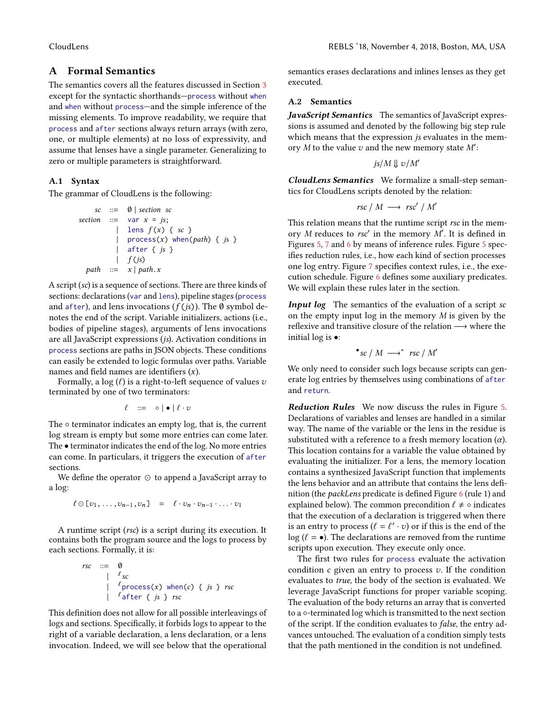# <span id="page-10-0"></span>A Formal Semantics

The semantics covers all the features discussed in Section [3](#page-2-0) except for the syntactic shorthands—process without when and when without process—and the simple inference of the missing elements. To improve readability, we require that process and after sections always return arrays (with zero, one, or multiple elements) at no loss of expressivity, and assume that lenses have a single parameter. Generalizing to zero or multiple parameters is straightforward.

#### A.1 Syntax

The grammar of CloudLens is the following:

```
\text{sc} ::= \emptyset | section sc
section  ::= \text{var } x = j s;| lens f(x) { sc }
          | process(x) when(path) \{ js \}| after { js }
          \int f(js)path := x | path.x
```
A script (sc) is a sequence of sections. There are three kinds of sections: declarations (var and lens), pipeline stages (process and after), and lens invocations ( $f (js)$ ). The Ø symbol denotes the end of the script. Variable initializers, actions (i.e., bodies of pipeline stages), arguments of lens invocations are all JavaScript expressions (js). Activation conditions in process sections are paths in JSON objects. These conditions can easily be extended to logic formulas over paths. Variable names and field names are identifiers  $(x)$ .

Formally, a log  $(\ell)$  is a right-to-left sequence of values  $\upsilon$ terminated by one of two terminators:

$$
\ell \quad ::= \quad \circ \mid \bullet \mid \ell \cdot v
$$

The  $\circ$  terminator indicates an empty log, that is, the current log stream is empty but some more entries can come later. The • terminator indicates the end of the log. No more entries can come. In particulars, it triggers the execution of after sections.

We define the operator ⊙ to append a JavaScript array to a log:

$$
\ell \odot [v_1, \ldots, v_{n-1}, v_n] = \ell \cdot v_n \cdot v_{n-1} \cdot \ldots \cdot v_1
$$

A runtime script (rsc) is a script during its execution. It contains both the program source and the logs to process by each sections. Formally, it is:

$$
rsc ::= \emptyset
$$
\n
$$
\begin{array}{c}\n\cdot := \emptyset \\
\downarrow \quad \ell_{sc} \\
\downarrow \quad \ell_{\text{process}}(x) \text{ when}(c) \quad \text{if } j \text{ is } x \text{ for } \ell_{\text{after}}(x) \text{ for } j \text{ is } x \text{ for } j \text{ is } x \text{ for } j \text{ is } x \text{ for } j \text{ is } x \text{ for } j \text{ is } x \text{ for } j \text{ is } x \text{ for } j \text{ is } x \text{ for } j \text{ is } y \text{ for } j \text{ is } y \text{ for } j \text{ is } y \text{ for } j \text{ is } y \text{ for } j \text{ is } y \text{ for } j \text{ is } y \text{ for } j \text{ is } y \text{ for } j \text{ is } y \text{ for } j \text{ is } y \text{ for } j \text{ is } y \text{ for } j \text{ is } y \text{ for } j \text{ is } y \text{ for } j \text{ is } y \text{ for } j \text{ is } y \text{ for } j \text{ is } y \text{ for } j \text{ is } y \text{ for } j \text{ is } y \text{ for } j \text{ is } y \text{ for } j \text{ is } y \text{ for } j \text{ is } y \text{ for } j \text{ is } y \text{ for } j \text{ is } y \text{ for } j \text{ is } y \text{ for } j \text{ is } y \text{ for } j \text{ is } y \text{ for } j \text{ is } y \text{ for } j \text{ is } y \text{ for } j \text{ is } y \text{ for } j \text{ is } y \text{ for } j \text{ is } y \text{ for } j \text{ is } y \text{ for } j \text{ is } y \text{ for } j \text{ is } y \text{ for } j \text{ is } y \text{ for } j \text{ is } y \text{ for } j \text{ is } y \text{ for } j \text{ is } y \text{ for } j \text{ is } y \text{ for } j \text{ is } y \text{ for } j \text{ is } y \text{ for } j \text{ is } y \text{ for } j \text{ is } y \text{ for } j \text{ is } y \text{ for } j \text{ is } y \text{ for } j \text{ is } y \text{ for } j \text{ is } y \text{ for } j \text{ is } y \text{ for } j \text{ is } y \text{ for }
$$

This definition does not allow for all possible interleavings of logs and sections. Specifically, it forbids logs to appear to the right of a variable declaration, a lens declaration, or a lens invocation. Indeed, we will see below that the operational

semantics erases declarations and inlines lenses as they get executed.

#### A.2 Semantics

JavaScript Semantics The semantics of JavaScript expressions is assumed and denoted by the following big step rule which means that the expression js evaluates in the memory  $M$  to the value  $v$  and the new memory state  $M'$ :

$$
js/M \Downarrow v/M'
$$

CloudLens Semantics We formalize a small-step semantics for CloudLens scripts denoted by the relation:

$$
rsc / M \longrightarrow rsc' / M'
$$

This relation means that the runtime script rsc in the memory M reduces to rsc' in the memory  $\overline{M}$ . It is defined in Figures [5,](#page-11-0) [7](#page-12-1) and [6](#page-12-2) by means of inference rules. Figure [5](#page-11-0) specifies reduction rules, i.e., how each kind of section processes one log entry. Figure [7](#page-12-1) specifies context rules, i.e., the execution schedule. Figure [6](#page-12-2) defines some auxiliary predicates. We will explain these rules later in the section.

Input log The semantics of the evaluation of a script sc on the empty input log in the memory M is given by the reflexive and transitive closure of the relation −→ where the initial log is  $\bullet$ :

$$
\bullet_{\text{SC}} \, / \, M \longrightarrow^* \text{rsc} \, / \, M'
$$

We only need to consider such logs because scripts can generate log entries by themselves using combinations of after and return.

Reduction Rules We now discuss the rules in Figure [5.](#page-11-0) Declarations of variables and lenses are handled in a similar way. The name of the variable or the lens in the residue is substituted with a reference to a fresh memory location  $(\alpha)$ . This location contains for a variable the value obtained by evaluating the initializer. For a lens, the memory location contains a synthesized JavaScript function that implements the lens behavior and an attribute that contains the lens definition (the *packLens* predicate is defined Figure [6](#page-12-2) (rule 1) and explained below). The common precondition  $\ell \neq \circ$  indicates that the execution of a declaration is triggered when there is an entry to process  $(\ell = \ell' \cdot v)$  or if this is the end of the log  $(\ell = \bullet)$ . The declarations are removed from the runtime log ( $\ell = \bullet$ ). The declarations are removed from the runtime scripts upon execution. They execute only once.

The first two rules for process evaluate the activation condition  $c$  given an entry to process  $v$ . If the condition evaluates to true, the body of the section is evaluated. We leverage JavaScript functions for proper variable scoping. The evaluation of the body returns an array that is converted to a ◦-terminated log which is transmitted to the next section of the script. If the condition evaluates to false, the entry advances untouched. The evaluation of a condition simply tests that the path mentioned in the condition is not undefined.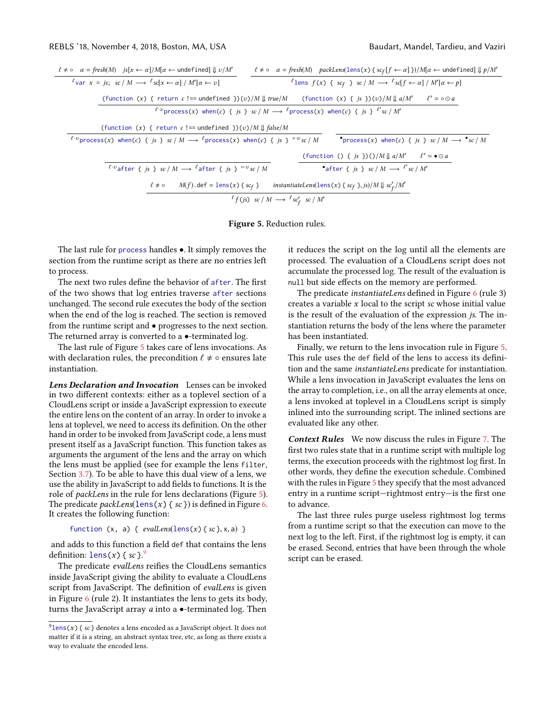<span id="page-11-0"></span>

| $\ell \neq o$ $\alpha = \text{fresh}(M)$ $is[x \leftarrow \alpha]/M[\alpha \leftarrow \text{undefined}] \downarrow v/M'$ |                                                                                    | $\ell \neq o$ $\alpha = \text{fresh}(M)$ packLens(lens(x) { $\text{sc}_f[f \leftarrow \alpha]$ })/ $M[\alpha \leftarrow$ undefined] $\downarrow p/M'$ |                         |
|--------------------------------------------------------------------------------------------------------------------------|------------------------------------------------------------------------------------|-------------------------------------------------------------------------------------------------------------------------------------------------------|-------------------------|
| $\ell_{\text{var}}$ x = is: sc / M $\longrightarrow$ $\ell_{\text{sc}}[x \leftarrow \alpha] / M'[\alpha \leftarrow v]$   |                                                                                    | <sup>l</sup> ens $f(x)$ { scf } sc / M $\longrightarrow$ <sup>l</sup> sc[f $\leftarrow \alpha$ ] / M'[ $\alpha \leftarrow p$ ]                        |                         |
| (function (x) { return c !== undefined })(v)/M    true/M (function (x) { is })(v)/M    a/M'                              |                                                                                    |                                                                                                                                                       | $\ell' = \circ \odot a$ |
| $\ell \cdot v$ process(x) when(c) { is } sc / M $\longrightarrow$ $\ell$ process(x) when(c) { is } $\ell'$ sc / M'       |                                                                                    |                                                                                                                                                       |                         |
| (function $(x)$ { return c !== undefined })(v)/M $\parallel$ false/M                                                     |                                                                                    |                                                                                                                                                       |                         |
| $\ell \cdot v$ process(x) when(c) { is } sc / M $\longrightarrow$ $\ell$ process(x) when(c) { is } $\circ v$ sc / M      |                                                                                    | •process(x) when(c) { is } sc / M $\longrightarrow$ •sc / M                                                                                           |                         |
|                                                                                                                          |                                                                                    | (function () { is })()/ $M \parallel a/M'$ $\ell' = \bullet \odot a$                                                                                  |                         |
| <sup>l</sup> <sup>-v</sup> after { is } sc / M $\longrightarrow$ <sup>l</sup> after { is } <sup>o-v</sup> sc / M         |                                                                                    | after { is } sc / M $\longrightarrow$ '' sc / M'                                                                                                      |                         |
| $M(f)$ . def = lens(x){scf}<br>$\ell \neq \circ$                                                                         |                                                                                    | <i>instantiateLens</i> (lens(x) { $sc_f$ }, <i>js</i> )/ <i>M</i> $\downarrow$ $sc'_f$ / <i>M'</i>                                                    |                         |
|                                                                                                                          | ${}^{\ell}f(js) \text{ sc } / M \longrightarrow {}^{\ell}sc'_{f} \text{ sc } / M'$ |                                                                                                                                                       |                         |
|                                                                                                                          |                                                                                    |                                                                                                                                                       |                         |

Figure 5. Reduction rules.

The last rule for process handles •. It simply removes the section from the runtime script as there are no entries left to process.

The next two rules define the behavior of after. The first of the two shows that log entries traverse after sections unchanged. The second rule executes the body of the section when the end of the log is reached. The section is removed from the runtime script and • progresses to the next section. The returned array is converted to a  $\bullet$ -terminated log.

The last rule of Figure [5](#page-11-0) takes care of lens invocations. As with declaration rules, the precondition  $\ell \neq \circ$  ensures late instantiation.

Lens Declaration and Invocation Lenses can be invoked in two different contexts: either as a toplevel section of a CloudLens script or inside a JavaScript expression to execute the entire lens on the content of an array. In order to invoke a lens at toplevel, we need to access its definition. On the other hand in order to be invoked from JavaScript code, a lens must present itself as a JavaScript function. This function takes as arguments the argument of the lens and the array on which the lens must be applied (see for example the lens filter, Section [3.7\)](#page-4-1). To be able to have this dual view of a lens, we use the ability in JavaScript to add fields to functions. It is the role of packLens in the rule for lens declarations (Figure [5\)](#page-11-0). The predicate  $packLens(1ens(x) { sc } )$  is defined in Figure [6.](#page-12-2) It creates the following function:

function  $(x, a) \{ *evalLens*(lens(x) { *sc* }, x, a) \}$ 

and adds to this function a field def that contains the lens definition: lens(x) { sc}.<sup>[9](#page-11-1)</sup><br>The predicate evaluations

The predicate evalLens reifies the CloudLens semantics inside JavaScript giving the ability to evaluate a CloudLens script from JavaScript. The definition of evalLens is given in Figure [6](#page-12-2) (rule 2). It instantiates the lens to gets its body, turns the JavaScript array a into a •-terminated log. Then

it reduces the script on the log until all the elements are processed. The evaluation of a CloudLens script does not accumulate the processed log. The result of the evaluation is null but side effects on the memory are performed.

The predicate instantiateLens defined in Figure [6](#page-12-2) (rule 3) creates a variable  $x$  local to the script  $sc$  whose initial value is the result of the evaluation of the expression js. The instantiation returns the body of the lens where the parameter has been instantiated.

Finally, we return to the lens invocation rule in Figure [5.](#page-11-0) This rule uses the def field of the lens to access its definition and the same instantiateLens predicate for instantiation. While a lens invocation in JavaScript evaluates the lens on the array to completion, i.e., on all the array elements at once, a lens invoked at toplevel in a CloudLens script is simply inlined into the surrounding script. The inlined sections are evaluated like any other.

Context Rules We now discuss the rules in Figure [7.](#page-12-1) The first two rules state that in a runtime script with multiple log terms, the execution proceeds with the rightmost log first. In other words, they define the execution schedule. Combined with the rules in Figure [5](#page-11-0) they specify that the most advanced entry in a runtime script—rightmost entry—is the first one to advance.

The last three rules purge useless rightmost log terms from a runtime script so that the execution can move to the next log to the left. First, if the rightmost log is empty, it can be erased. Second, entries that have been through the whole script can be erased.

<span id="page-11-1"></span> $^{9}$ lens(x) { sc } denotes a lens encoded as a JavaScript object. It does not matter if it is a string, an abstract syntax tree, etc, as long as there exists a way to evaluate the encoded lens.